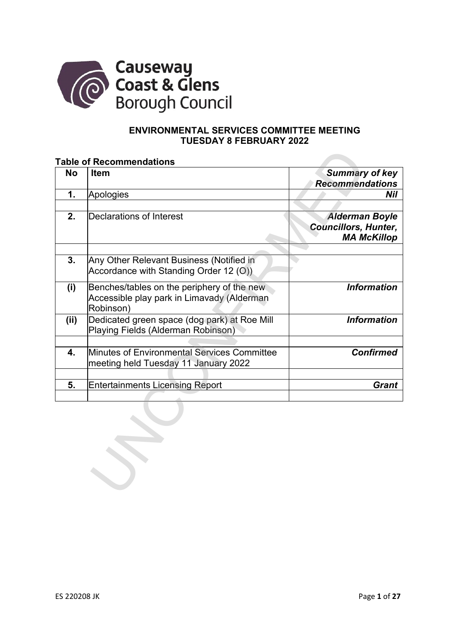

## **ENVIRONMENTAL SERVICES COMMITTEE MEETING TUESDAY 8 FEBRUARY 2022**

#### **Table of Recommendations**

| <b>No</b> | <b>Item</b>                                                                                           | <b>Summary of key</b><br><b>Recommendations</b>                            |
|-----------|-------------------------------------------------------------------------------------------------------|----------------------------------------------------------------------------|
| 1.        | Apologies                                                                                             | Nil                                                                        |
|           |                                                                                                       |                                                                            |
| 2.        | Declarations of Interest                                                                              | <b>Alderman Boyle</b><br><b>Councillors, Hunter,</b><br><b>MA McKillop</b> |
| 3.        | Any Other Relevant Business (Notified in<br>Accordance with Standing Order 12 (O))                    |                                                                            |
| (i)       | Benches/tables on the periphery of the new<br>Accessible play park in Limavady (Alderman<br>Robinson) | <b>Information</b>                                                         |
| (ii)      | Dedicated green space (dog park) at Roe Mill<br>Playing Fields (Alderman Robinson)                    | <b>Information</b>                                                         |
| 4.        | Minutes of Environmental Services Committee<br>meeting held Tuesday 11 January 2022                   | <b>Confirmed</b>                                                           |
| 5.        | <b>Entertainments Licensing Report</b>                                                                | <b>Grant</b>                                                               |
|           |                                                                                                       |                                                                            |
|           |                                                                                                       |                                                                            |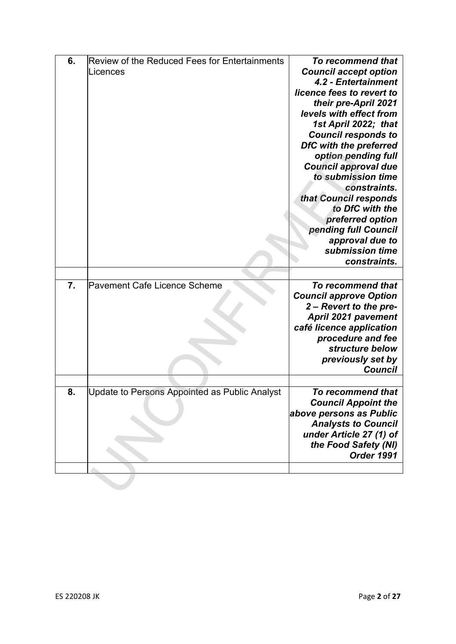| 6. | Review of the Reduced Fees for Entertainments | To recommend that             |
|----|-----------------------------------------------|-------------------------------|
|    | Licences                                      | <b>Council accept option</b>  |
|    |                                               | 4.2 - Entertainment           |
|    |                                               | licence fees to revert to     |
|    |                                               |                               |
|    |                                               | their pre-April 2021          |
|    |                                               | levels with effect from       |
|    |                                               | 1st April 2022; that          |
|    |                                               | <b>Council responds to</b>    |
|    |                                               | DfC with the preferred        |
|    |                                               | option pending full           |
|    |                                               | <b>Council approval due</b>   |
|    |                                               | to submission time            |
|    |                                               | constraints.                  |
|    |                                               | that Council responds         |
|    |                                               | to DfC with the               |
|    |                                               | preferred option              |
|    |                                               | pending full Council          |
|    |                                               | approval due to               |
|    |                                               | submission time               |
|    |                                               | constraints.                  |
|    |                                               |                               |
| 7. | Pavement Cafe Licence Scheme                  | To recommend that             |
|    |                                               | <b>Council approve Option</b> |
|    |                                               | 2 - Revert to the pre-        |
|    |                                               | <b>April 2021 pavement</b>    |
|    |                                               | café licence application      |
|    |                                               | procedure and fee             |
|    |                                               | structure below               |
|    |                                               | previously set by             |
|    |                                               | <b>Council</b>                |
|    |                                               |                               |
| 8. | Update to Persons Appointed as Public Analyst | To recommend that             |
|    |                                               | <b>Council Appoint the</b>    |
|    |                                               | above persons as Public       |
|    |                                               | <b>Analysts to Council</b>    |
|    |                                               | under Article 27 (1) of       |
|    |                                               | the Food Safety (NI)          |
|    |                                               | Order 1991                    |
|    |                                               |                               |
|    |                                               |                               |
|    |                                               |                               |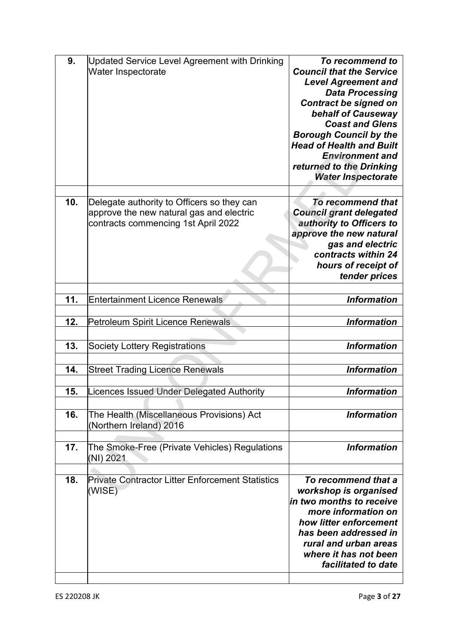| 9.  | Updated Service Level Agreement with Drinking<br>Water Inspectorate                                                           | To recommend to<br><b>Council that the Service</b><br><b>Level Agreement and</b><br><b>Data Processing</b><br><b>Contract be signed on</b><br>behalf of Causeway<br><b>Coast and Glens</b><br><b>Borough Council by the</b><br><b>Head of Health and Built</b><br><b>Environment and</b><br>returned to the Drinking<br><b>Water Inspectorate</b> |
|-----|-------------------------------------------------------------------------------------------------------------------------------|---------------------------------------------------------------------------------------------------------------------------------------------------------------------------------------------------------------------------------------------------------------------------------------------------------------------------------------------------|
| 10. | Delegate authority to Officers so they can<br>approve the new natural gas and electric<br>contracts commencing 1st April 2022 | To recommend that<br><b>Council grant delegated</b><br>authority to Officers to<br>approve the new natural<br>gas and electric<br>contracts within 24<br>hours of receipt of<br>tender prices                                                                                                                                                     |
| 11. | <b>Entertainment Licence Renewals</b>                                                                                         | <b>Information</b>                                                                                                                                                                                                                                                                                                                                |
| 12. | Petroleum Spirit Licence Renewals                                                                                             | <b>Information</b>                                                                                                                                                                                                                                                                                                                                |
| 13. | <b>Society Lottery Registrations</b>                                                                                          | <b>Information</b>                                                                                                                                                                                                                                                                                                                                |
| 14. | <b>Street Trading Licence Renewals</b>                                                                                        | <b>Information</b>                                                                                                                                                                                                                                                                                                                                |
| 15. | <b>Licences Issued Under Delegated Authority</b>                                                                              | <b>Information</b>                                                                                                                                                                                                                                                                                                                                |
| 16. | The Health (Miscellaneous Provisions) Act<br>(Northern Ireland) 2016                                                          | <b>Information</b>                                                                                                                                                                                                                                                                                                                                |
| 17. | The Smoke-Free (Private Vehicles) Regulations<br>(NI) 2021                                                                    | <b>Information</b>                                                                                                                                                                                                                                                                                                                                |
| 18. | <b>Private Contractor Litter Enforcement Statistics</b><br>(WISE)                                                             | To recommend that a<br>workshop is organised<br>in two months to receive<br>more information on<br>how litter enforcement<br>has been addressed in<br>rural and urban areas<br>where it has not been<br>facilitated to date                                                                                                                       |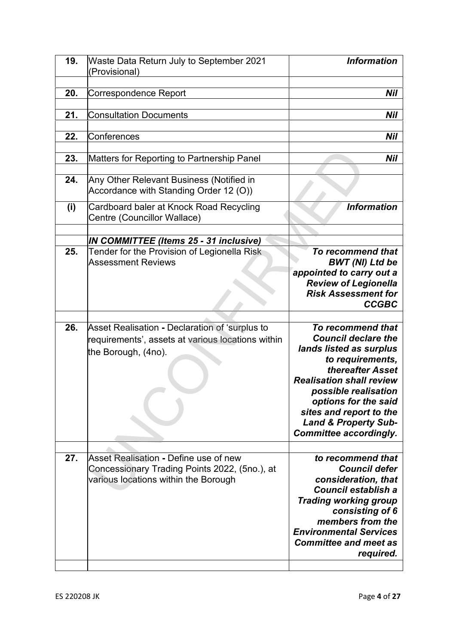| 19. | Waste Data Return July to September 2021<br>(Provisional)                                                                      | <b>Information</b>                                                                                                                                                                                                                                                                                   |
|-----|--------------------------------------------------------------------------------------------------------------------------------|------------------------------------------------------------------------------------------------------------------------------------------------------------------------------------------------------------------------------------------------------------------------------------------------------|
| 20. | <b>Correspondence Report</b>                                                                                                   | Nil                                                                                                                                                                                                                                                                                                  |
| 21. | <b>Consultation Documents</b>                                                                                                  | Nil                                                                                                                                                                                                                                                                                                  |
| 22. | Conferences                                                                                                                    | Nil                                                                                                                                                                                                                                                                                                  |
| 23. | Matters for Reporting to Partnership Panel                                                                                     | Nil                                                                                                                                                                                                                                                                                                  |
| 24. | Any Other Relevant Business (Notified in<br>Accordance with Standing Order 12 (O))                                             |                                                                                                                                                                                                                                                                                                      |
| (i) | Cardboard baler at Knock Road Recycling<br>Centre (Councillor Wallace)                                                         | <b>Information</b>                                                                                                                                                                                                                                                                                   |
|     |                                                                                                                                |                                                                                                                                                                                                                                                                                                      |
| 25. | <b>IN COMMITTEE (Items 25 - 31 inclusive)</b><br>Tender for the Provision of Legionella Risk<br><b>Assessment Reviews</b>      | To recommend that<br><b>BWT (NI) Ltd be</b>                                                                                                                                                                                                                                                          |
|     |                                                                                                                                | appointed to carry out a<br><b>Review of Legionella</b><br><b>Risk Assessment for</b><br><b>CCGBC</b>                                                                                                                                                                                                |
| 26. | Asset Realisation - Declaration of 'surplus to<br>requirements', assets at various locations within<br>the Borough, (4no).     | To recommend that<br><b>Council declare the</b><br>lands listed as surplus<br>to requirements,<br>thereafter Asset<br><b>Realisation shall review</b><br>possible realisation<br>options for the said<br>sites and report to the<br><b>Land &amp; Property Sub-</b><br><b>Committee accordingly.</b> |
|     |                                                                                                                                |                                                                                                                                                                                                                                                                                                      |
| 27. | Asset Realisation - Define use of new<br>Concessionary Trading Points 2022, (5no.), at<br>various locations within the Borough | to recommend that<br><b>Council defer</b><br>consideration, that<br>Council establish a<br><b>Trading working group</b><br>consisting of 6<br>members from the<br><b>Environmental Services</b><br><b>Committee and meet as</b><br>required.                                                         |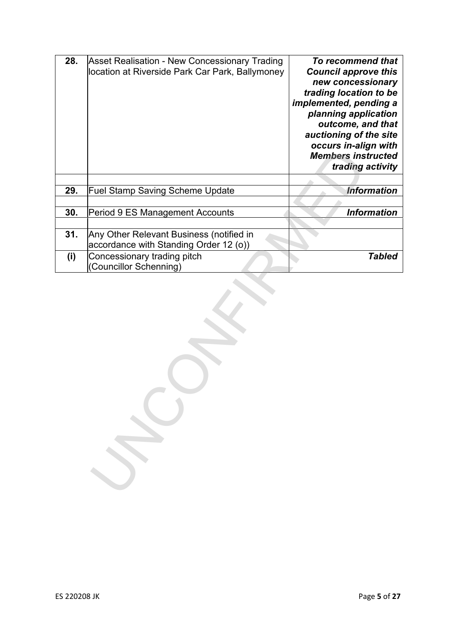| 28. | Asset Realisation - New Concessionary Trading<br>location at Riverside Park Car Park, Ballymoney | To recommend that<br><b>Council approve this</b><br>new concessionary<br>trading location to be<br>implemented, pending a<br>planning application<br>outcome, and that<br>auctioning of the site<br>occurs in-align with |
|-----|--------------------------------------------------------------------------------------------------|--------------------------------------------------------------------------------------------------------------------------------------------------------------------------------------------------------------------------|
|     |                                                                                                  | <b>Members instructed</b><br>trading activity                                                                                                                                                                            |
| 29. | <b>Fuel Stamp Saving Scheme Update</b>                                                           | <b>Information</b>                                                                                                                                                                                                       |
|     |                                                                                                  |                                                                                                                                                                                                                          |
| 30. | Period 9 ES Management Accounts                                                                  | <b>Information</b>                                                                                                                                                                                                       |
|     |                                                                                                  |                                                                                                                                                                                                                          |
| 31. | Any Other Relevant Business (notified in<br>accordance with Standing Order 12 (o))               |                                                                                                                                                                                                                          |
| (i) | Concessionary trading pitch<br>(Councillor Schenning)                                            | <b>Tabled</b>                                                                                                                                                                                                            |
|     |                                                                                                  |                                                                                                                                                                                                                          |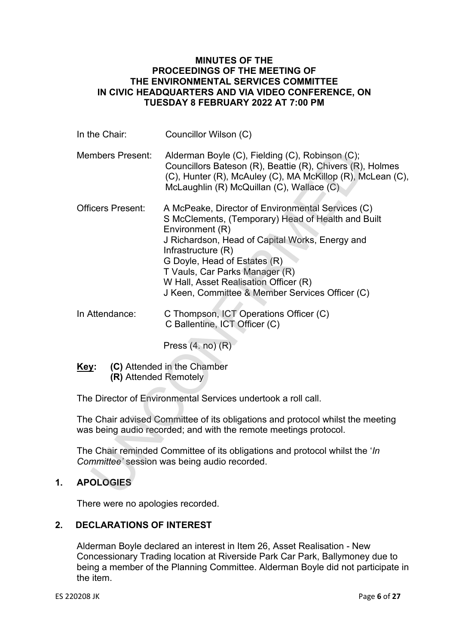# **MINUTES OF THE PROCEEDINGS OF THE MEETING OF THE ENVIRONMENTAL SERVICES COMMITTEE IN CIVIC HEADQUARTERS AND VIA VIDEO CONFERENCE, ON TUESDAY 8 FEBRUARY 2022 AT 7:00 PM**

| In the Chair:                        | Councillor Wilson (C)                                                                                                                                                                                                                                                                                                                                             |
|--------------------------------------|-------------------------------------------------------------------------------------------------------------------------------------------------------------------------------------------------------------------------------------------------------------------------------------------------------------------------------------------------------------------|
| <b>Members Present:</b>              | Alderman Boyle (C), Fielding (C), Robinson (C);<br>Councillors Bateson (R), Beattie (R), Chivers (R), Holmes<br>(C), Hunter (R), McAuley (C), MA McKillop (R), McLean (C),<br>McLaughlin (R) McQuillan (C), Wallace (C)                                                                                                                                           |
| <b>Officers Present:</b>             | A McPeake, Director of Environmental Services (C)<br>S McClements, (Temporary) Head of Health and Built<br>Environment (R)<br>J Richardson, Head of Capital Works, Energy and<br>Infrastructure (R)<br>G Doyle, Head of Estates (R)<br>T Vauls, Car Parks Manager (R)<br>W Hall, Asset Realisation Officer (R)<br>J Keen, Committee & Member Services Officer (C) |
| In Attendance:                       | C Thompson, ICT Operations Officer (C)<br>C Ballentine, ICT Officer (C)                                                                                                                                                                                                                                                                                           |
|                                      | Press $(4. no)$ $(R)$                                                                                                                                                                                                                                                                                                                                             |
| <u>Key:</u><br>(R) Attended Remotely | (C) Attended in the Chamber                                                                                                                                                                                                                                                                                                                                       |
|                                      | The Director of Environmental Services undertook a roll call.                                                                                                                                                                                                                                                                                                     |
|                                      | The Chair advised Committee of its obligations and protocol whilst the meeting<br>was being audio recorded; and with the remote meetings protocol.                                                                                                                                                                                                                |
|                                      | The Chair reminded Committee of its obligations and protocol whilst the ' <i>In</i><br>Committee' session was being audio recorded.                                                                                                                                                                                                                               |
| <b>APOLOGIES</b>                     |                                                                                                                                                                                                                                                                                                                                                                   |

# **1. APOLOGIES**

There were no apologies recorded.

# **2. DECLARATIONS OF INTEREST**

Alderman Boyle declared an interest in Item 26, Asset Realisation - New Concessionary Trading location at Riverside Park Car Park, Ballymoney due to being a member of the Planning Committee. Alderman Boyle did not participate in the item.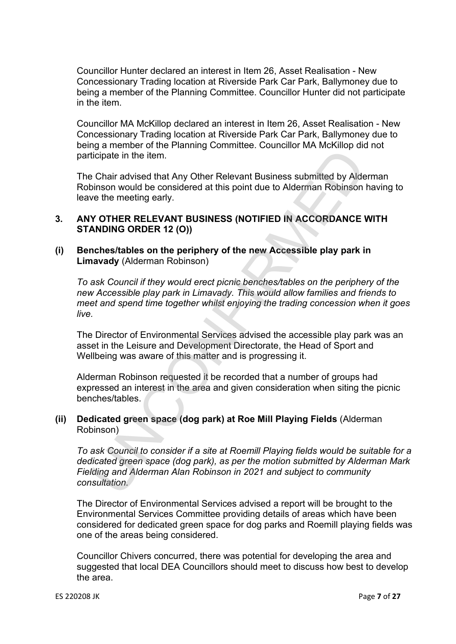Councillor Hunter declared an interest in Item 26, Asset Realisation - New Concessionary Trading location at Riverside Park Car Park, Ballymoney due to being a member of the Planning Committee. Councillor Hunter did not participate in the item.

Councillor MA McKillop declared an interest in Item 26, Asset Realisation - New Concessionary Trading location at Riverside Park Car Park, Ballymoney due to being a member of the Planning Committee. Councillor MA McKillop did not participate in the item.

The Chair advised that Any Other Relevant Business submitted by Alderman Robinson would be considered at this point due to Alderman Robinson having to leave the meeting early.

# **3. ANY OTHER RELEVANT BUSINESS (NOTIFIED IN ACCORDANCE WITH STANDING ORDER 12 (O))**

# **(i) Benches/tables on the periphery of the new Accessible play park in Limavady** (Alderman Robinson)

*To ask Council if they would erect picnic benches/tables on the periphery of the new Accessible play park in Limavady. This would allow families and friends to meet and spend time together whilst enjoying the trading concession when it goes live.* 

The Director of Environmental Services advised the accessible play park was an asset in the Leisure and Development Directorate, the Head of Sport and Wellbeing was aware of this matter and is progressing it.

Alderman Robinson requested it be recorded that a number of groups had expressed an interest in the area and given consideration when siting the picnic benches/tables.

### **(ii) Dedicated green space (dog park) at Roe Mill Playing Fields** (Alderman Robinson)

*To ask Council to consider if a site at Roemill Playing fields would be suitable for a dedicated green space (dog park), as per the motion submitted by Alderman Mark Fielding and Alderman Alan Robinson in 2021 and subject to community consultation.*  Bighter in the litem.<br>
Chair advised that Any Other Relevant Business submitted by Aldemann Chair advised that Any Other Relevant Business submitted by Aldemann Robinson would be considered at this point due to Aldemann Ro

The Director of Environmental Services advised a report will be brought to the Environmental Services Committee providing details of areas which have been considered for dedicated green space for dog parks and Roemill playing fields was one of the areas being considered.

Councillor Chivers concurred, there was potential for developing the area and suggested that local DEA Councillors should meet to discuss how best to develop the area.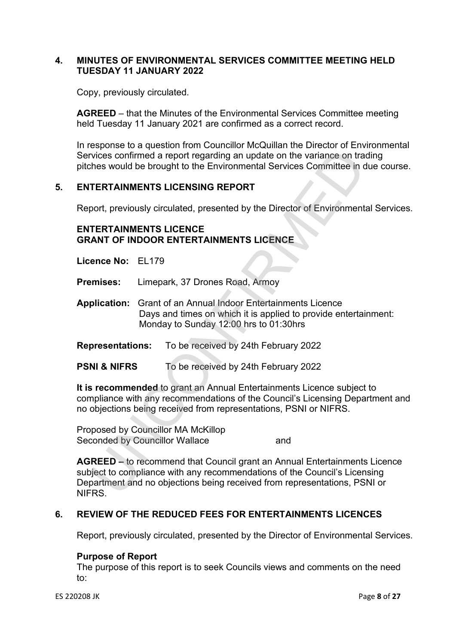# **4. MINUTES OF ENVIRONMENTAL SERVICES COMMITTEE MEETING HELD TUESDAY 11 JANUARY 2022**

Copy, previously circulated.

**AGREED** – that the Minutes of the Environmental Services Committee meeting held Tuesday 11 January 2021 are confirmed as a correct record.

In response to a question from Councillor McQuillan the Director of Environmental Services confirmed a report regarding an update on the variance on trading pitches would be brought to the Environmental Services Committee in due course.

# **5. ENTERTAINMENTS LICENSING REPORT**

Report, previously circulated, presented by the Director of Environmental Services.

#### **ENTERTAINMENTS LICENCE GRANT OF INDOOR ENTERTAINMENTS LICENCE**

**Licence No:** EL179

**Premises:** Limepark, 37 Drones Road, Armoy

- **Application:** Grant of an Annual Indoor Entertainments Licence Days and times on which it is applied to provide entertainment: Monday to Sunday 12:00 hrs to 01:30hrs
- **Representations:** To be received by 24th February 2022
- **PSNI & NIFRS** To be received by 24th February 2022

**It is recommended** to grant an Annual Entertainments Licence subject to compliance with any recommendations of the Council's Licensing Department and no objections being received from representations, PSNI or NIFRS.

Proposed by Councillor MA McKillop Seconded by Councillor Wallace and

**AGREED –** to recommend that Council grant an Annual Entertainments Licence subject to compliance with any recommendations of the Council's Licensing Department and no objections being received from representations, PSNI or NIFRS. Vices confirmed a report regarding an update on the variance on tractations<br>
Wices confirmed a report regarding an update on the variance on tractions<br>
TERTAINMENTS LICENSING REPORT<br>
DOT, previously circulated, presented b

# **6. REVIEW OF THE REDUCED FEES FOR ENTERTAINMENTS LICENCES**

Report, previously circulated, presented by the Director of Environmental Services.

#### **Purpose of Report**

The purpose of this report is to seek Councils views and comments on the need to: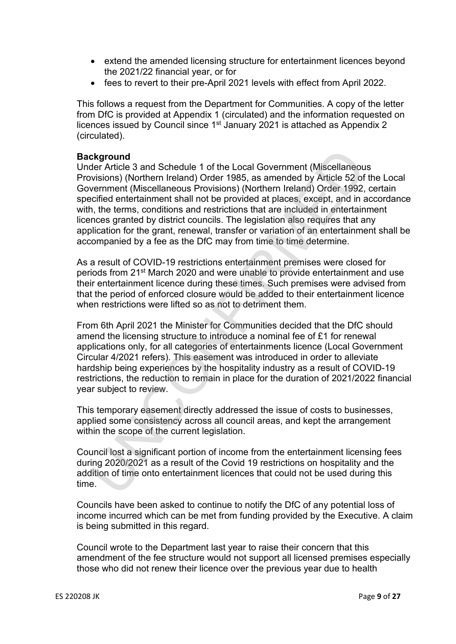- extend the amended licensing structure for entertainment licences beyond the 2021/22 financial year, or for
- fees to revert to their pre-April 2021 levels with effect from April 2022.

This follows a request from the Department for Communities. A copy of the letter from DfC is provided at Appendix 1 (circulated) and the information requested on licences issued by Council since 1st January 2021 is attached as Appendix 2 (circulated).

## **Background**

Under Article 3 and Schedule 1 of the Local Government (Miscellaneous Provisions) (Northern Ireland) Order 1985, as amended by Article 52 of the Local Government (Miscellaneous Provisions) (Northern Ireland) Order 1992, certain specified entertainment shall not be provided at places, except, and in accordance with, the terms, conditions and restrictions that are included in entertainment licences granted by district councils. The legislation also requires that any application for the grant, renewal, transfer or variation of an entertainment shall be accompanied by a fee as the DfC may from time to time determine. ckground<br>excreence 3 and Schedule 1 of the Local Government (Miscellaneour<br>visions) (Northern Ireland) Order 1985, as amended by Article 52 of<br>vermment (Miscellaneous Provisions) (Northern Ireland) Order 1992,<br>vermment (Mi

As a result of COVID-19 restrictions entertainment premises were closed for periods from 21st March 2020 and were unable to provide entertainment and use their entertainment licence during these times. Such premises were advised from that the period of enforced closure would be added to their entertainment licence when restrictions were lifted so as not to detriment them.

From 6th April 2021 the Minister for Communities decided that the DfC should amend the licensing structure to introduce a nominal fee of £1 for renewal applications only, for all categories of entertainments licence (Local Government Circular 4/2021 refers). This easement was introduced in order to alleviate hardship being experiences by the hospitality industry as a result of COVID-19 restrictions, the reduction to remain in place for the duration of 2021/2022 financial year subject to review.

This temporary easement directly addressed the issue of costs to businesses, applied some consistency across all council areas, and kept the arrangement within the scope of the current legislation.

Council lost a significant portion of income from the entertainment licensing fees during 2020/2021 as a result of the Covid 19 restrictions on hospitality and the addition of time onto entertainment licences that could not be used during this time.

Councils have been asked to continue to notify the DfC of any potential loss of income incurred which can be met from funding provided by the Executive. A claim is being submitted in this regard.

Council wrote to the Department last year to raise their concern that this amendment of the fee structure would not support all licensed premises especially those who did not renew their licence over the previous year due to health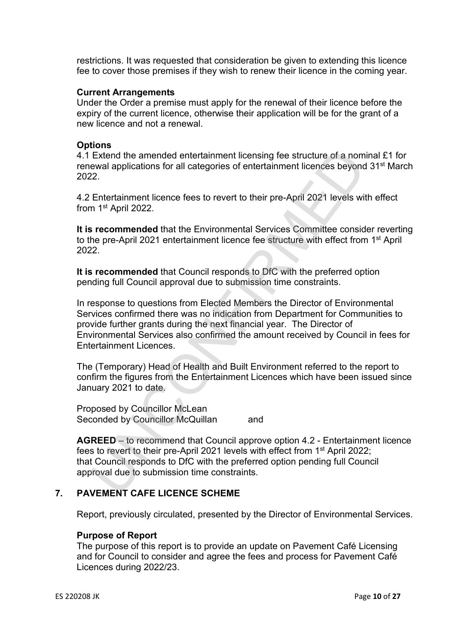restrictions. It was requested that consideration be given to extending this licence fee to cover those premises if they wish to renew their licence in the coming year.

#### **Current Arrangements**

Under the Order a premise must apply for the renewal of their licence before the expiry of the current licence, otherwise their application will be for the grant of a new licence and not a renewal.

#### **Options**

4.1 Extend the amended entertainment licensing fee structure of a nominal £1 for renewal applications for all categories of entertainment licences beyond 31st March 2022.

4.2 Entertainment licence fees to revert to their pre-April 2021 levels with effect from 1st April 2022.

**It is recommended** that the Environmental Services Committee consider reverting to the pre-April 2021 entertainment licence fee structure with effect from 1<sup>st</sup> April 2022.

**It is recommended** that Council responds to DfC with the preferred option pending full Council approval due to submission time constraints.

In response to questions from Elected Members the Director of Environmental Services confirmed there was no indication from Department for Communities to provide further grants during the next financial year. The Director of Environmental Services also confirmed the amount received by Council in fees for Entertainment Licences. Extend the amended entertainment licensing fee structure of a nom<br>
Extend the amended entertainment licenses beyonc<br>
exval applications for all categories of entertainment licences beyonc<br>
22.<br>
22.<br>
Entertainment licence f

The (Temporary) Head of Health and Built Environment referred to the report to confirm the figures from the Entertainment Licences which have been issued since January 2021 to date.

Proposed by Councillor McLean Seconded by Councillor McQuillan and

**AGREED** – to recommend that Council approve option 4.2 - Entertainment licence fees to revert to their pre-April 2021 levels with effect from 1<sup>st</sup> April 2022; that Council responds to DfC with the preferred option pending full Council approval due to submission time constraints.

# **7. PAVEMENT CAFE LICENCE SCHEME**

Report, previously circulated, presented by the Director of Environmental Services.

# **Purpose of Report**

The purpose of this report is to provide an update on Pavement Café Licensing and for Council to consider and agree the fees and process for Pavement Café Licences during 2022/23.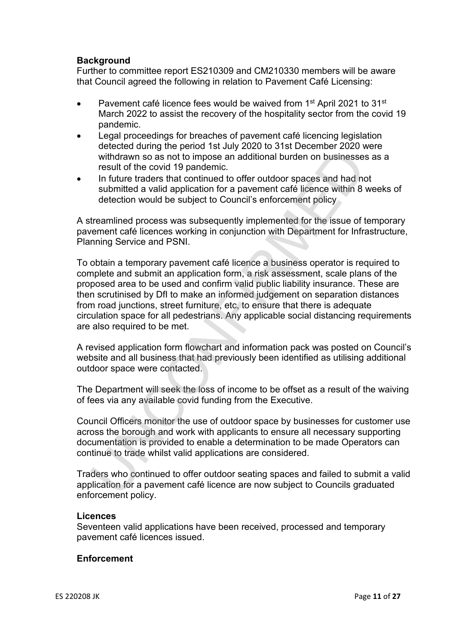## **Background**

Further to committee report ES210309 and CM210330 members will be aware that Council agreed the following in relation to Pavement Café Licensing:

- Pavement café licence fees would be waived from 1<sup>st</sup> April 2021 to 31<sup>st</sup> March 2022 to assist the recovery of the hospitality sector from the covid 19 pandemic.
- Legal proceedings for breaches of pavement café licencing legislation detected during the period 1st July 2020 to 31st December 2020 were withdrawn so as not to impose an additional burden on businesses as a result of the covid 19 pandemic.
- In future traders that continued to offer outdoor spaces and had not submitted a valid application for a pavement café licence within 8 weeks of detection would be subject to Council's enforcement policy

A streamlined process was subsequently implemented for the issue of temporary pavement café licences working in conjunction with Department for Infrastructure, Planning Service and PSNI.

To obtain a temporary pavement café licence a business operator is required to complete and submit an application form, a risk assessment, scale plans of the proposed area to be used and confirm valid public liability insurance. These are then scrutinised by DfI to make an informed judgement on separation distances from road junctions, street furniture, etc, to ensure that there is adequate circulation space for all pedestrians. Any applicable social distancing requirements are also required to be met. ordected daring the present of the court of the contract control and the provident and subsidiary is result of the covid 19 pandemic.<br>
In future traders hat continued to offer outdoor spaces and had not subsidiary and a su

A revised application form flowchart and information pack was posted on Council's website and all business that had previously been identified as utilising additional outdoor space were contacted.

The Department will seek the loss of income to be offset as a result of the waiving of fees via any available covid funding from the Executive.

Council Officers monitor the use of outdoor space by businesses for customer use across the borough and work with applicants to ensure all necessary supporting documentation is provided to enable a determination to be made Operators can continue to trade whilst valid applications are considered.

Traders who continued to offer outdoor seating spaces and failed to submit a valid application for a pavement café licence are now subject to Councils graduated enforcement policy.

#### **Licences**

Seventeen valid applications have been received, processed and temporary pavement café licences issued.

#### **Enforcement**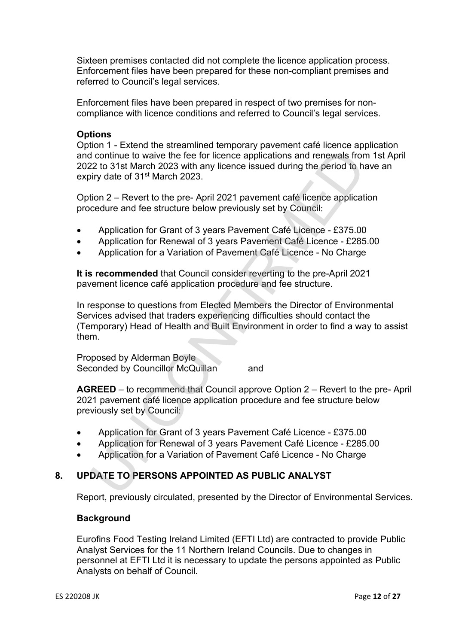Sixteen premises contacted did not complete the licence application process. Enforcement files have been prepared for these non-compliant premises and referred to Council's legal services.

Enforcement files have been prepared in respect of two premises for noncompliance with licence conditions and referred to Council's legal services.

### **Options**

Option 1 - Extend the streamlined temporary pavement café licence application and continue to waive the fee for licence applications and renewals from 1st April 2022 to 31st March 2023 with any licence issued during the period to have an expiry date of 31<sup>st</sup> March 2023.

Option 2 – Revert to the pre- April 2021 pavement café licence application procedure and fee structure below previously set by Council:

- Application for Grant of 3 years Pavement Café Licence £375.00
- Application for Renewal of 3 years Pavement Café Licence £285.00
- Application for a Variation of Pavement Café Licence No Charge

**It is recommended** that Council consider reverting to the pre-April 2021 pavement licence café application procedure and fee structure.

In response to questions from Elected Members the Director of Environmental Services advised that traders experiencing difficulties should contact the (Temporary) Head of Health and Built Environment in order to find a way to assist them. Incordinue to waive the fee for licence applications and renewals from<br>the continue to waive the fee for licence applications and renewals from<br>tyi date of 31st March 2023 with any licence issued during the period to hast<br>

Proposed by Alderman Boyle Seconded by Councillor McQuillan and

**AGREED** – to recommend that Council approve Option 2 – Revert to the pre- April 2021 pavement café licence application procedure and fee structure below previously set by Council:

- Application for Grant of 3 years Pavement Café Licence £375.00
- Application for Renewal of 3 years Pavement Café Licence £285.00
- Application for a Variation of Pavement Café Licence No Charge

# **8. UPDATE TO PERSONS APPOINTED AS PUBLIC ANALYST**

Report, previously circulated, presented by the Director of Environmental Services.

#### **Background**

Eurofins Food Testing Ireland Limited (EFTI Ltd) are contracted to provide Public Analyst Services for the 11 Northern Ireland Councils. Due to changes in personnel at EFTI Ltd it is necessary to update the persons appointed as Public Analysts on behalf of Council.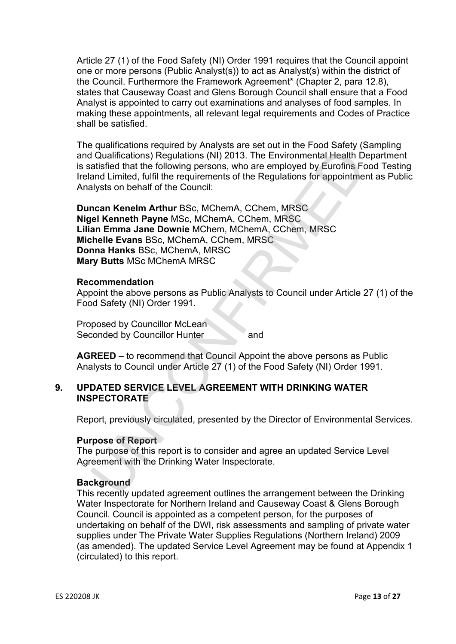Article 27 (1) of the Food Safety (NI) Order 1991 requires that the Council appoint one or more persons (Public Analyst(s)) to act as Analyst(s) within the district of the Council. Furthermore the Framework Agreement\* (Chapter 2, para 12.8), states that Causeway Coast and Glens Borough Council shall ensure that a Food Analyst is appointed to carry out examinations and analyses of food samples. In making these appointments, all relevant legal requirements and Codes of Practice shall be satisfied.

The qualifications required by Analysts are set out in the Food Safety (Sampling and Qualifications) Regulations (NI) 2013. The Environmental Health Department is satisfied that the following persons, who are employed by Eurofins Food Testing Ireland Limited, fulfil the requirements of the Regulations for appointment as Public Analysts on behalf of the Council:

**Duncan Kenelm Arthur** BSc, MChemA, CChem, MRSC **Nigel Kenneth Payne** MSc, MChemA, CChem, MRSC **Lilian Emma Jane Downie** MChem, MChemA, CChem, MRSC **Michelle Evans** BSc, MChemA, CChem, MRSC **Donna Hanks** BSc, MChemA, MRSC **Mary Butts** MSc MChemA MRSC I Qualifications) Regulations (NI) 2013. The Environmental Health D<br>and Qualifications) Regulations (NI) 2013. The Environmental Health D<br>attaffied that the following persons, who are employed by Eurofins Fo<br>and Limited, f

#### **Recommendation**

Appoint the above persons as Public Analysts to Council under Article 27 (1) of the Food Safety (NI) Order 1991.

Proposed by Councillor McLean Seconded by Councillor Hunter and

**AGREED** – to recommend that Council Appoint the above persons as Public Analysts to Council under Article 27 (1) of the Food Safety (NI) Order 1991.

### **9. UPDATED SERVICE LEVEL AGREEMENT WITH DRINKING WATER INSPECTORATE**

Report, previously circulated, presented by the Director of Environmental Services.

#### **Purpose of Report**

The purpose of this report is to consider and agree an updated Service Level Agreement with the Drinking Water Inspectorate.

#### **Background**

This recently updated agreement outlines the arrangement between the Drinking Water Inspectorate for Northern Ireland and Causeway Coast & Glens Borough Council. Council is appointed as a competent person, for the purposes of undertaking on behalf of the DWI, risk assessments and sampling of private water supplies under The Private Water Supplies Regulations (Northern Ireland) 2009 (as amended). The updated Service Level Agreement may be found at Appendix 1 (circulated) to this report.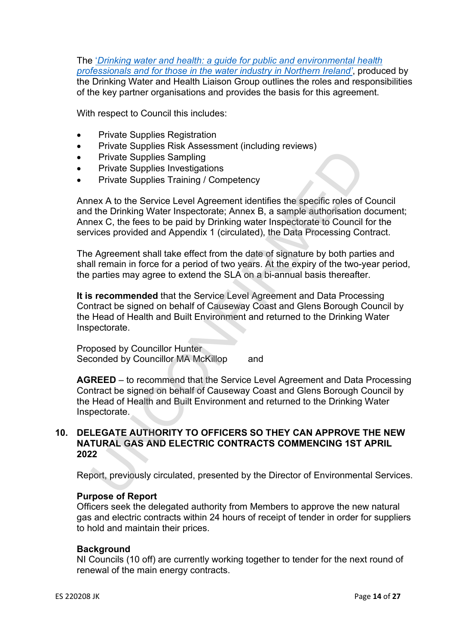The '*Drinking water and health: a guide for public and environmental health professionals and for those in the water industry in Northern Ireland'*, produced by the Drinking Water and Health Liaison Group outlines the roles and responsibilities of the key partner organisations and provides the basis for this agreement.

With respect to Council this includes:

- Private Supplies Registration
- Private Supplies Risk Assessment (including reviews)
- Private Supplies Sampling
- Private Supplies Investigations
- Private Supplies Training / Competency

Annex A to the Service Level Agreement identifies the specific roles of Council and the Drinking Water Inspectorate; Annex B, a sample authorisation document; Annex C, the fees to be paid by Drinking water Inspectorate to Council for the services provided and Appendix 1 (circulated), the Data Processing Contract. Private Supplies Sampling<br>Private Supplies Sampling<br>Private Supplies Fraining / Competency<br>Private Supplies Training / Competency<br>Private Supplies Training / Competency<br>He the Drinking Water Inspectorate: Annex B, a sample

The Agreement shall take effect from the date of signature by both parties and shall remain in force for a period of two years. At the expiry of the two-year period, the parties may agree to extend the SLA on a bi-annual basis thereafter.

**It is recommended** that the Service Level Agreement and Data Processing Contract be signed on behalf of Causeway Coast and Glens Borough Council by the Head of Health and Built Environment and returned to the Drinking Water Inspectorate.

Proposed by Councillor Hunter Seconded by Councillor MA McKillop and

**AGREED** – to recommend that the Service Level Agreement and Data Processing Contract be signed on behalf of Causeway Coast and Glens Borough Council by the Head of Health and Built Environment and returned to the Drinking Water Inspectorate.

#### **10. DELEGATE AUTHORITY TO OFFICERS SO THEY CAN APPROVE THE NEW NATURAL GAS AND ELECTRIC CONTRACTS COMMENCING 1ST APRIL 2022**

Report, previously circulated, presented by the Director of Environmental Services.

#### **Purpose of Report**

Officers seek the delegated authority from Members to approve the new natural gas and electric contracts within 24 hours of receipt of tender in order for suppliers to hold and maintain their prices.

#### **Background**

NI Councils (10 off) are currently working together to tender for the next round of renewal of the main energy contracts.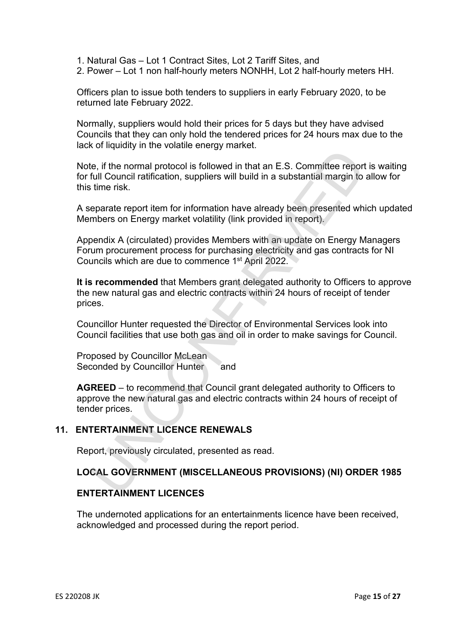- 1. Natural Gas Lot 1 Contract Sites, Lot 2 Tariff Sites, and
- 2. Power Lot 1 non half-hourly meters NONHH, Lot 2 half-hourly meters HH.

Officers plan to issue both tenders to suppliers in early February 2020, to be returned late February 2022.

Normally, suppliers would hold their prices for 5 days but they have advised Councils that they can only hold the tendered prices for 24 hours max due to the lack of liquidity in the volatile energy market.

Note, if the normal protocol is followed in that an E.S. Committee report is waiting for full Council ratification, suppliers will build in a substantial margin to allow for this time risk. E. If the normal protocol is followed in that an E.S. Committee report<br>full Council ratification, suppliers will build in a substantial margin to<br>time risk.<br>eparate report item for information have already been presented w

A separate report item for information have already been presented which updated Members on Energy market volatility (link provided in report).

Appendix A (circulated) provides Members with an update on Energy Managers Forum procurement process for purchasing electricity and gas contracts for NI Councils which are due to commence 1st April 2022.

**It is recommended** that Members grant delegated authority to Officers to approve the new natural gas and electric contracts within 24 hours of receipt of tender prices.

Councillor Hunter requested the Director of Environmental Services look into Council facilities that use both gas and oil in order to make savings for Council.

Proposed by Councillor McLean Seconded by Councillor Hunter and

**AGREED** – to recommend that Council grant delegated authority to Officers to approve the new natural gas and electric contracts within 24 hours of receipt of tender prices.

#### **11. ENTERTAINMENT LICENCE RENEWALS**

Report, previously circulated, presented as read.

#### **LOCAL GOVERNMENT (MISCELLANEOUS PROVISIONS) (NI) ORDER 1985**

#### **ENTERTAINMENT LICENCES**

The undernoted applications for an entertainments licence have been received, acknowledged and processed during the report period.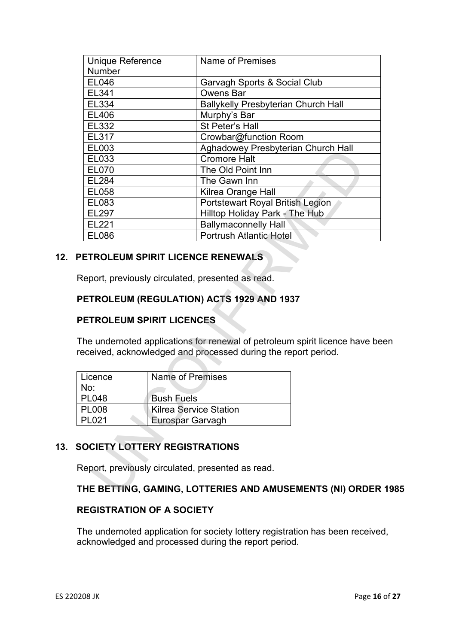| <b>Unique Reference</b>                                  | Name of Premises        |                                                                                                                                                                                                  |  |
|----------------------------------------------------------|-------------------------|--------------------------------------------------------------------------------------------------------------------------------------------------------------------------------------------------|--|
| Number                                                   |                         |                                                                                                                                                                                                  |  |
| <b>EL046</b>                                             |                         | Garvagh Sports & Social Club                                                                                                                                                                     |  |
| EL341                                                    |                         | <b>Owens Bar</b>                                                                                                                                                                                 |  |
| EL334                                                    |                         | <b>Ballykelly Presbyterian Church Hall</b>                                                                                                                                                       |  |
| EL406                                                    |                         | Murphy's Bar                                                                                                                                                                                     |  |
| EL332                                                    |                         | St Peter's Hall                                                                                                                                                                                  |  |
| EL317                                                    |                         | Crowbar@function Room                                                                                                                                                                            |  |
| EL003                                                    |                         | Aghadowey Presbyterian Church Hall                                                                                                                                                               |  |
| EL033                                                    |                         | <b>Cromore Halt</b>                                                                                                                                                                              |  |
| <b>EL070</b>                                             |                         | The Old Point Inn                                                                                                                                                                                |  |
| EL284                                                    |                         | The Gawn Inn                                                                                                                                                                                     |  |
| EL058                                                    |                         | Kilrea Orange Hall                                                                                                                                                                               |  |
| EL083                                                    |                         | Portstewart Royal British Legion                                                                                                                                                                 |  |
| <b>EL297</b>                                             |                         | Hilltop Holiday Park - The Hub                                                                                                                                                                   |  |
| EL221                                                    |                         | <b>Ballymaconnelly Hall</b>                                                                                                                                                                      |  |
| <b>EL086</b>                                             |                         | <b>Portrush Atlantic Hotel</b>                                                                                                                                                                   |  |
| <b>PETROLEUM SPIRIT LICENCES</b>                         |                         | <b>PETROLEUM (REGULATION) ACTS 1929 AND 1937</b><br>The undernoted applications for renewal of petroleum spirit licence have be<br>eceived, acknowledged and processed during the report period. |  |
| Licence                                                  | <b>Name of Premises</b> |                                                                                                                                                                                                  |  |
| No:                                                      |                         |                                                                                                                                                                                                  |  |
| <b>PL048</b>                                             | <b>Bush Fuels</b>       |                                                                                                                                                                                                  |  |
| <b>PL008</b>                                             |                         | <b>Kilrea Service Station</b>                                                                                                                                                                    |  |
| <b>PL021</b>                                             | Eurospar Garvagh        |                                                                                                                                                                                                  |  |
| <b>OCIETY LOTTERY REGISTRATIONS</b>                      |                         | Report, previously circulated, presented as read.                                                                                                                                                |  |
| THE BETTING, GAMING, LOTTERIES AND AMUSEMENTS (NI) ORDER |                         |                                                                                                                                                                                                  |  |

# **12. PETROLEUM SPIRIT LICENCE RENEWALS**

# **PETROLEUM (REGULATION) ACTS 1929 AND 1937**

# **PETROLEUM SPIRIT LICENCES**

The undernoted applications for renewal of petroleum spirit licence have been received, acknowledged and processed during the report period.

| Licence      | Name of Premises       |  |
|--------------|------------------------|--|
| No:          |                        |  |
| <b>PL048</b> | <b>Bush Fuels</b>      |  |
| <b>PL008</b> | Kilrea Service Station |  |
| <b>PL021</b> | Eurospar Garvagh       |  |

# **13. SOCIETY LOTTERY REGISTRATIONS**

# **THE BETTING, GAMING, LOTTERIES AND AMUSEMENTS (NI) ORDER 1985**

# **REGISTRATION OF A SOCIETY**

The undernoted application for society lottery registration has been received, acknowledged and processed during the report period.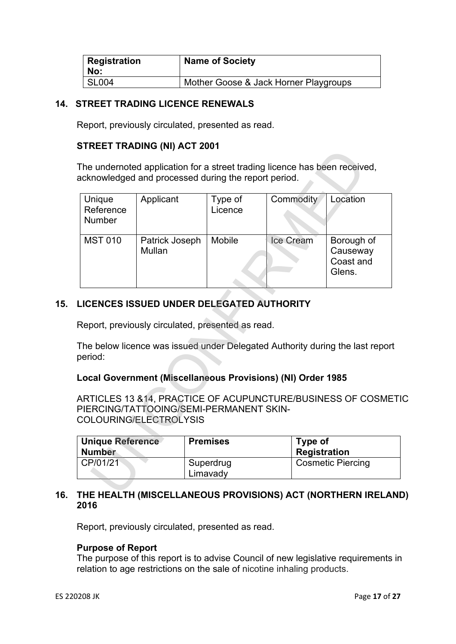| <b>Registration</b><br>No: | <b>Name of Society</b>                |
|----------------------------|---------------------------------------|
| <b>SL004</b>               | Mother Goose & Jack Horner Playgroups |

# **14. STREET TRADING LICENCE RENEWALS**

Report, previously circulated, presented as read.

# **STREET TRADING (NI) ACT 2001**

| Unique                                              | acknowledged and processed during the report period.<br>Applicant                                     | Type of         | Commodity                      | Location                                                                      |
|-----------------------------------------------------|-------------------------------------------------------------------------------------------------------|-----------------|--------------------------------|-------------------------------------------------------------------------------|
| Reference<br>Number                                 |                                                                                                       | Licence         |                                |                                                                               |
| <b>MST 010</b>                                      | Patrick Joseph<br><b>Mullan</b>                                                                       | <b>Mobile</b>   | Ice Cream                      | Borough of<br>Causeway<br>Coast and<br>Glens.                                 |
|                                                     |                                                                                                       |                 |                                |                                                                               |
|                                                     | <b>LICENCES ISSUED UNDER DELEGATED AUTHORITY</b><br>Report, previously circulated, presented as read. |                 |                                | The below licence was issued under Delegated Authority during the last report |
|                                                     | Local Government (Miscellaneous Provisions) (NI) Order 1985                                           |                 |                                |                                                                               |
|                                                     | PIERCING/TATTOOING/SEMI-PERMANENT SKIN-<br>COLOURING/ELECTROLYSIS                                     |                 |                                | ARTICLES 13 &14, PRACTICE OF ACUPUNCTURE/BUSINESS OF COSME                    |
| beriod:<br><b>Unique Reference</b><br><b>Number</b> |                                                                                                       | <b>Premises</b> | Type of<br><b>Registration</b> |                                                                               |

# **15. LICENCES ISSUED UNDER DELEGATED AUTHORITY**

# **Local Government (Miscellaneous Provisions) (NI) Order 1985**

ARTICLES 13 &14, PRACTICE OF ACUPUNCTURE/BUSINESS OF COSMETIC PIERCING/TATTOOING/SEMI-PERMANENT SKIN-COLOURING/ELECTROLYSIS

| Unique Reference<br><b>Number</b> | <b>Premises</b>       | Type of<br><b>Registration</b> |
|-----------------------------------|-----------------------|--------------------------------|
| CP/01/21                          | Superdrug<br>Limavady | <b>Cosmetic Piercing</b>       |

# **16. THE HEALTH (MISCELLANEOUS PROVISIONS) ACT (NORTHERN IRELAND) 2016**

Report, previously circulated, presented as read.

#### **Purpose of Report**

The purpose of this report is to advise Council of new legislative requirements in relation to age restrictions on the sale of nicotine inhaling products.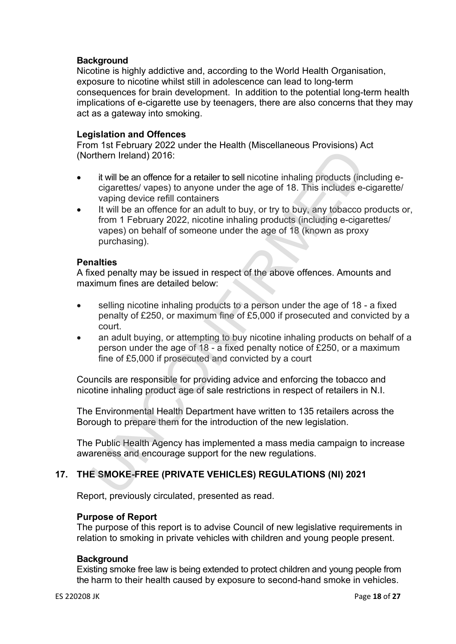# **Background**

Nicotine is highly addictive and, according to the World Health Organisation, exposure to nicotine whilst still in adolescence can lead to long-term consequences for brain development. In addition to the potential long-term health implications of e-cigarette use by teenagers, there are also concerns that they may act as a gateway into smoking.

#### **Legislation and Offences**

From 1st February 2022 under the Health (Miscellaneous Provisions) Act (Northern Ireland) 2016:

- it will be an offence for a retailer to sell nicotine inhaling products (including ecigarettes/ vapes) to anyone under the age of 18. This includes e-cigarette/ vaping device refill containers
- It will be an offence for an adult to buy, or try to buy, any tobacco products or, from 1 February 2022, nicotine inhaling products (including e-cigarettes/ vapes) on behalf of someone under the age of 18 (known as proxy purchasing). International Packing and the method of the new regulation.<br>
Example the new regulator of the new regulators and encoded to the new regulator of the cigarettes/vapes) to any<br>
une under the age of 18. This includes evapore

### **Penalties**

A fixed penalty may be issued in respect of the above offences. Amounts and maximum fines are detailed below:

- selling nicotine inhaling products to a person under the age of 18 a fixed penalty of £250, or maximum fine of £5,000 if prosecuted and convicted by a court.
- an adult buying, or attempting to buy nicotine inhaling products on behalf of a person under the age of 18 - a fixed penalty notice of £250, or a maximum fine of £5,000 if prosecuted and convicted by a court

Councils are responsible for providing advice and enforcing the tobacco and nicotine inhaling product age of sale restrictions in respect of retailers in N.I.

The Environmental Health Department have written to 135 retailers across the Borough to prepare them for the introduction of the new legislation.

The Public Health Agency has implemented a mass media campaign to increase awareness and encourage support for the new regulations.

# **17. THE SMOKE-FREE (PRIVATE VEHICLES) REGULATIONS (NI) 2021**

Report, previously circulated, presented as read.

# **Purpose of Report**

The purpose of this report is to advise Council of new legislative requirements in relation to smoking in private vehicles with children and young people present.

#### **Background**

Existing smoke free law is being extended to protect children and young people from the harm to their health caused by exposure to second-hand smoke in vehicles.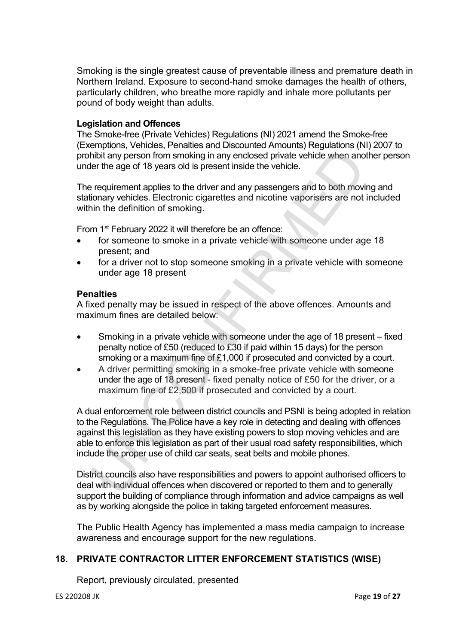Smoking is the single greatest cause of preventable illness and premature death in Northern Ireland. Exposure to second-hand smoke damages the health of others, particularly children, who breathe more rapidly and inhale more pollutants per pound of body weight than adults.

#### **Legislation and Offences**

The Smoke-free (Private Vehicles) Regulations (NI) 2021 amend the Smoke-free (Exemptions, Vehicles, Penalties and Discounted Amounts) Regulations (NI) 2007 to prohibit any person from smoking in any enclosed private vehicle when another person under the age of 18 years old is present inside the vehicle.

The requirement applies to the driver and any passengers and to both moving and stationary vehicles. Electronic cigarettes and nicotine vaporisers are not included within the definition of smoking.

From 1<sup>st</sup> February 2022 it will therefore be an offence:

- for someone to smoke in a private vehicle with someone under age 18 present; and
- for a driver not to stop someone smoking in a private vehicle with someone under age 18 present

### **Penalties**

A fixed penalty may be issued in respect of the above offences. Amounts and maximum fines are detailed below:

- Smoking in a private vehicle with someone under the age of 18 present fixed penalty notice of £50 (reduced to £30 if paid within 15 days) for the person smoking or a maximum fine of £1,000 if prosecuted and convicted by a court.
- A driver permitting smoking in a smoke-free private vehicle with someone under the age of 18 present - fixed penalty notice of £50 for the driver, or a maximum fine of £2,500 if prosecuted and convicted by a court.

A dual enforcement role between district councils and PSNI is being adopted in relation to the Regulations. The Police have a key role in detecting and dealing with offences against this legislation as they have existing powers to stop moving vehicles and are able to enforce this legislation as part of their usual road safety responsibilities, which include the proper use of child car seats, seat belts and mobile phones. minitive and the between district counters are between the properties when distributed with interest the separation of the separation of the separation of the separation of smoking. The requirement applies to the driver an

District councils also have responsibilities and powers to appoint authorised officers to deal with individual offences when discovered or reported to them and to generally support the building of compliance through information and advice campaigns as well as by working alongside the police in taking targeted enforcement measures.

The Public Health Agency has implemented a mass media campaign to increase awareness and encourage support for the new regulations.

# **18. PRIVATE CONTRACTOR LITTER ENFORCEMENT STATISTICS (WISE)**

Report, previously circulated, presented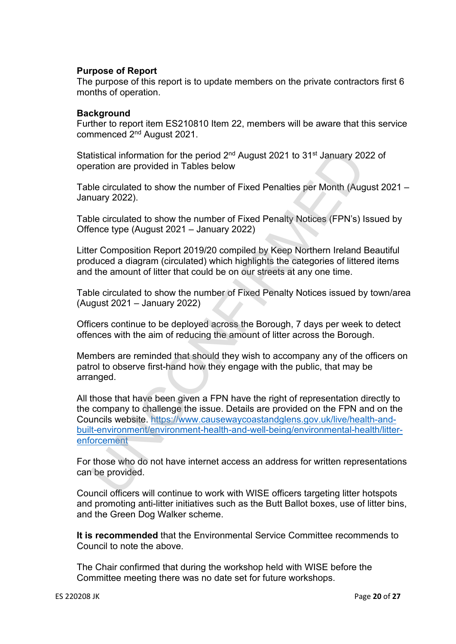### **Purpose of Report**

The purpose of this report is to update members on the private contractors first 6 months of operation.

#### **Background**

Further to report item ES210810 Item 22, members will be aware that this service commenced 2nd August 2021.

Statistical information for the period 2<sup>nd</sup> August 2021 to 31<sup>st</sup> January 2022 of operation are provided in Tables below

Table circulated to show the number of Fixed Penalties per Month (August 2021 – January 2022).

Table circulated to show the number of Fixed Penalty Notices (FPN's) Issued by Offence type (August 2021 – January 2022)

Litter Composition Report 2019/20 compiled by Keep Northern Ireland Beautiful produced a diagram (circulated) which highlights the categories of littered items and the amount of litter that could be on our streets at any one time.

Table circulated to show the number of Fixed Penalty Notices issued by town/area (August 2021 – January 2022)

Officers continue to be deployed across the Borough, 7 days per week to detect offences with the aim of reducing the amount of litter across the Borough.

Members are reminded that should they wish to accompany any of the officers on patrol to observe first-hand how they engage with the public, that may be arranged.

All those that have been given a FPN have the right of representation directly to the company to challenge the issue. Details are provided on the FPN and on the Councils website. https://www.causewaycoastandglens.gov.uk/live/health-andbuilt-environment/environment-health-and-well-being/environmental-health/litterenforcement tistical information for the period 2<sup>nd</sup> August 2021 to 31<sup>st</sup> January 20<br>
te circulated to show the number of Fixed Penalties per Month (Auguay 2022).<br>
ble circulated to show the number of Fixed Penalty Notices (FPN's) I

For those who do not have internet access an address for written representations can be provided.

Council officers will continue to work with WISE officers targeting litter hotspots and promoting anti-litter initiatives such as the Butt Ballot boxes, use of litter bins, and the Green Dog Walker scheme.

**It is recommended** that the Environmental Service Committee recommends to Council to note the above.

The Chair confirmed that during the workshop held with WISE before the Committee meeting there was no date set for future workshops.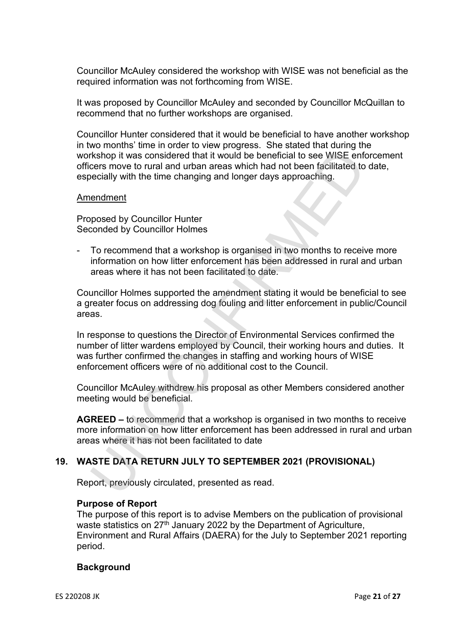Councillor McAuley considered the workshop with WISE was not beneficial as the required information was not forthcoming from WISE.

It was proposed by Councillor McAuley and seconded by Councillor McQuillan to recommend that no further workshops are organised.

Councillor Hunter considered that it would be beneficial to have another workshop in two months' time in order to view progress. She stated that during the workshop it was considered that it would be beneficial to see WISE enforcement officers move to rural and urban areas which had not been facilitated to date, especially with the time changing and longer days approaching.

#### Amendment

Proposed by Councillor Hunter Seconded by Councillor Holmes

- To recommend that a workshop is organised in two months to receive more information on how litter enforcement has been addressed in rural and urban areas where it has not been facilitated to date.

Councillor Holmes supported the amendment stating it would be beneficial to see a greater focus on addressing dog fouling and litter enforcement in public/Council areas.

In response to questions the Director of Environmental Services confirmed the number of litter wardens employed by Council, their working hours and duties. It was further confirmed the changes in staffing and working hours of WISE enforcement officers were of no additional cost to the Council. Example that a workshop is operation to the ending of the system of the system of the system with the time changing and longer days approaching. The decisily with the time changing and longer days approaching. The decisily

Councillor McAuley withdrew his proposal as other Members considered another meeting would be beneficial.

**AGREED –** to recommend that a workshop is organised in two months to receive more information on how litter enforcement has been addressed in rural and urban areas where it has not been facilitated to date

# **19. WASTE DATA RETURN JULY TO SEPTEMBER 2021 (PROVISIONAL)**

Report, previously circulated, presented as read.

#### **Purpose of Report**

The purpose of this report is to advise Members on the publication of provisional waste statistics on 27<sup>th</sup> January 2022 by the Department of Agriculture, Environment and Rural Affairs (DAERA) for the July to September 2021 reporting period.

# **Background**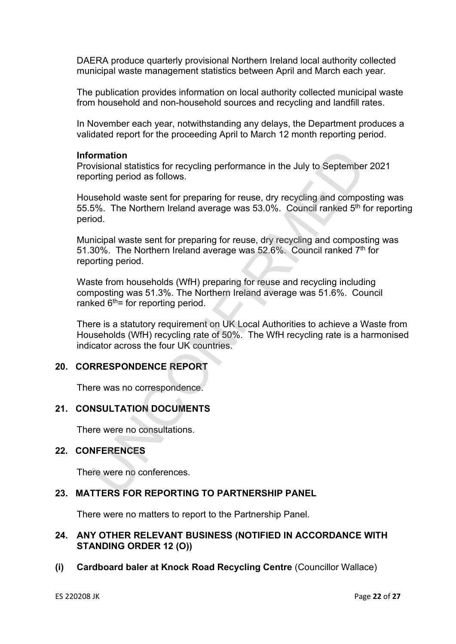DAERA produce quarterly provisional Northern Ireland local authority collected municipal waste management statistics between April and March each year.

The publication provides information on local authority collected municipal waste from household and non-household sources and recycling and landfill rates.

In November each year, notwithstanding any delays, the Department produces a validated report for the proceeding April to March 12 month reporting period.

#### **Information**

Provisional statistics for recycling performance in the July to September 2021 reporting period as follows.

Household waste sent for preparing for reuse, dry recycling and composting was 55.5%. The Northern Ireland average was 53.0%. Council ranked  $5<sup>th</sup>$  for reporting period. **broad statistics** for recycling performance in the July to September<br>
broad statistics for recycling performance in the July to September<br>
orting period as follows.<br>
usehold waste sent for preparing for reuse, dry recycli

Municipal waste sent for preparing for reuse, dry recycling and composting was 51.30%. The Northern Ireland average was 52.6%. Council ranked 7th for reporting period.

Waste from households (WfH) preparing for reuse and recycling including composting was 51.3%. The Northern Ireland average was 51.6%. Council ranked  $6<sup>th</sup>$  for reporting period.

There is a statutory requirement on UK Local Authorities to achieve a Waste from Households (WfH) recycling rate of 50%. The WfH recycling rate is a harmonised indicator across the four UK countries.

### **20. CORRESPONDENCE REPORT**

There was no correspondence.

# **21. CONSULTATION DOCUMENTS**

There were no consultations.

# **22. CONFERENCES**

There were no conferences.

### **23. MATTERS FOR REPORTING TO PARTNERSHIP PANEL**

There were no matters to report to the Partnership Panel.

### **24. ANY OTHER RELEVANT BUSINESS (NOTIFIED IN ACCORDANCE WITH STANDING ORDER 12 (O))**

**(i) Cardboard baler at Knock Road Recycling Centre** (Councillor Wallace)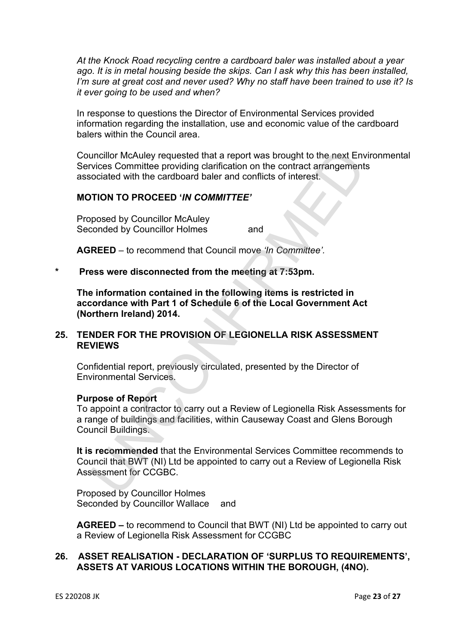*At the Knock Road recycling centre a cardboard baler was installed about a year ago. It is in metal housing beside the skips. Can I ask why this has been installed, I'm sure at great cost and never used? Why no staff have been trained to use it? Is it ever going to be used and when?* 

In response to questions the Director of Environmental Services provided information regarding the installation, use and economic value of the cardboard balers within the Council area.

Councillor McAuley requested that a report was brought to the next Environmental Services Committee providing clarification on the contract arrangements associated with the cardboard baler and conflicts of interest.

### **MOTION TO PROCEED '***IN COMMITTEE'*

Proposed by Councillor McAuley Seconded by Councillor Holmes and

**AGREED** – to recommend that Council move *'In Committee'.*

#### **\* Press were disconnected from the meeting at 7:53pm.**

**The information contained in the following items is restricted in accordance with Part 1 of Schedule 6 of the Local Government Act (Northern Ireland) 2014.** 

# **25. TENDER FOR THE PROVISION OF LEGIONELLA RISK ASSESSMENT REVIEWS**

Confidential report, previously circulated, presented by the Director of Environmental Services.

#### **Purpose of Report**

To appoint a contractor to carry out a Review of Legionella Risk Assessments for a range of buildings and facilities, within Causeway Coast and Glens Borough Council Buildings. uncillor McAuley requested that a report was brought to the next Envirors<br>
coincides providing darification on the contract arrangement<br>
coicied with the cardboard baler and conflicts of interest.<br>
TION TO PROCEED '*IN COM* 

**It is recommended** that the Environmental Services Committee recommends to Council that BWT (NI) Ltd be appointed to carry out a Review of Legionella Risk Assessment for CCGBC.

Proposed by Councillor Holmes Seconded by Councillor Wallace and

**AGREED –** to recommend to Council that BWT (NI) Ltd be appointed to carry out a Review of Legionella Risk Assessment for CCGBC

# **26. ASSET REALISATION - DECLARATION OF 'SURPLUS TO REQUIREMENTS', ASSETS AT VARIOUS LOCATIONS WITHIN THE BOROUGH, (4NO).**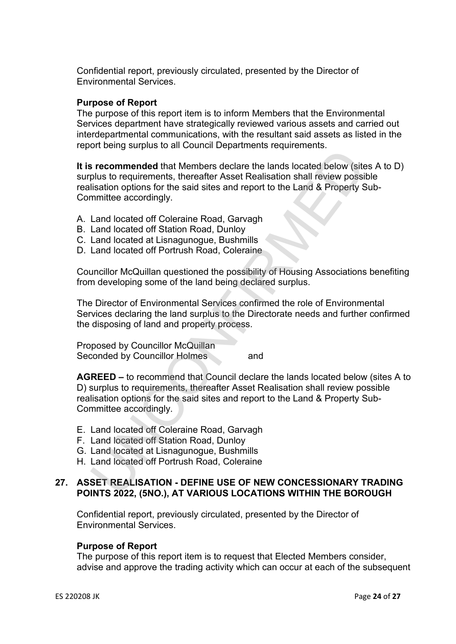Confidential report, previously circulated, presented by the Director of Environmental Services.

### **Purpose of Report**

The purpose of this report item is to inform Members that the Environmental Services department have strategically reviewed various assets and carried out interdepartmental communications, with the resultant said assets as listed in the report being surplus to all Council Departments requirements.

**It is recommended** that Members declare the lands located below (sites A to D) surplus to requirements, thereafter Asset Realisation shall review possible realisation options for the said sites and report to the Land & Property Sub-Committee accordingly. **Example 12**<br> **Example 12**<br> **Example 4** that Members dealer the lands located below (site<br>
plus to requirements, thereafter Asset Realisation shall review possi<br>
lisation options for the said sites and report to the Land &

- A. Land located off Coleraine Road, Garvagh
- B. Land located off Station Road, Dunloy
- C. Land located at Lisnagunogue, Bushmills
- D. Land located off Portrush Road, Coleraine

Councillor McQuillan questioned the possibility of Housing Associations benefiting from developing some of the land being declared surplus.

The Director of Environmental Services confirmed the role of Environmental Services declaring the land surplus to the Directorate needs and further confirmed the disposing of land and property process.

Proposed by Councillor McQuillan Seconded by Councillor Holmes and

**AGREED –** to recommend that Council declare the lands located below (sites A to D) surplus to requirements, thereafter Asset Realisation shall review possible realisation options for the said sites and report to the Land & Property Sub-Committee accordingly.

- E. Land located off Coleraine Road, Garvagh
- F. Land located off Station Road, Dunloy
- G. Land located at Lisnagunogue, Bushmills
- H. Land located off Portrush Road, Coleraine

# **27. ASSET REALISATION - DEFINE USE OF NEW CONCESSIONARY TRADING POINTS 2022, (5NO.), AT VARIOUS LOCATIONS WITHIN THE BOROUGH**

Confidential report, previously circulated, presented by the Director of Environmental Services.

#### **Purpose of Report**

The purpose of this report item is to request that Elected Members consider, advise and approve the trading activity which can occur at each of the subsequent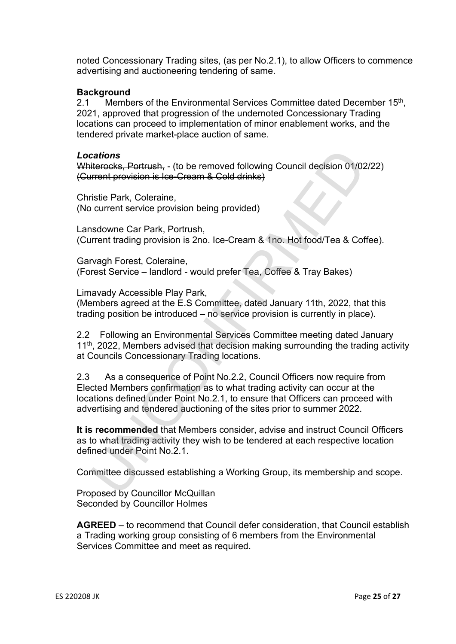noted Concessionary Trading sites, (as per No.2.1), to allow Officers to commence advertising and auctioneering tendering of same.

### **Background**

2.1 Members of the Environmental Services Committee dated December 15<sup>th</sup>, 2021, approved that progression of the undernoted Concessionary Trading locations can proceed to implementation of minor enablement works, and the tendered private market-place auction of same.

#### *Locations*

Whiterocks, Portrush, - (to be removed following Council decision 01/02/22) (Current provision is Ice-Cream & Cold drinks)

Christie Park, Coleraine, (No current service provision being provided)

Lansdowne Car Park, Portrush, (Current trading provision is 2no. Ice-Cream & 1no. Hot food/Tea & Coffee).

Garvagh Forest, Coleraine, (Forest Service – landlord - would prefer Tea, Coffee & Tray Bakes)

Limavady Accessible Play Park,

(Members agreed at the E.S Committee, dated January 11th, 2022, that this trading position be introduced – no service provision is currently in place).

2.2 Following an Environmental Services Committee meeting dated January  $11<sup>th</sup>$ , 2022, Members advised that decision making surrounding the trading activity at Councils Concessionary Trading locations.

2.3 As a consequence of Point No.2.2, Council Officers now require from Elected Members confirmation as to what trading activity can occur at the locations defined under Point No.2.1, to ensure that Officers can proceed with advertising and tendered auctioning of the sites prior to summer 2022. cations<br>
iterceks, Portrush, - (to be removed following Council decision 01/02<br>
iterceks, Portrush, - (to be removed following Council decision 01/02<br>
iterceks, Portrush, experiment service provision being provided)<br>
stato

**It is recommended** that Members consider, advise and instruct Council Officers as to what trading activity they wish to be tendered at each respective location defined under Point No.2.1.

Committee discussed establishing a Working Group, its membership and scope.

Proposed by Councillor McQuillan Seconded by Councillor Holmes

**AGREED** – to recommend that Council defer consideration, that Council establish a Trading working group consisting of 6 members from the Environmental Services Committee and meet as required.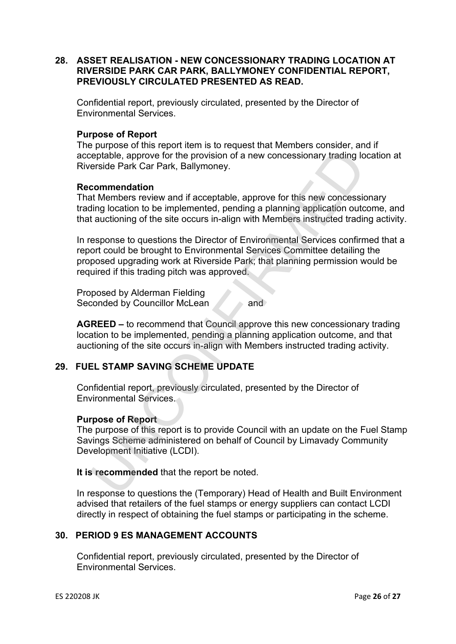# **28. ASSET REALISATION - NEW CONCESSIONARY TRADING LOCATION AT RIVERSIDE PARK CAR PARK, BALLYMONEY CONFIDENTIAL REPORT, PREVIOUSLY CIRCULATED PRESENTED AS READ.**

Confidential report, previously circulated, presented by the Director of Environmental Services.

#### **Purpose of Report**

The purpose of this report item is to request that Members consider, and if acceptable, approve for the provision of a new concessionary trading location at Riverside Park Car Park, Ballymoney.

### **Recommendation**

That Members review and if acceptable, approve for this new concessionary trading location to be implemented, pending a planning application outcome, and that auctioning of the site occurs in-align with Members instructed trading activity.

In response to questions the Director of Environmental Services confirmed that a report could be brought to Environmental Services Committee detailing the proposed upgrading work at Riverside Park; that planning permission would be required if this trading pitch was approved. Fertilable, approve for the provision of a new concessionary trading loft<br>reptable, approve for the provision of a new concessionary trading loft<br>rate Members review and if acceptable, approve for this new concessis<br>the Me

Proposed by Alderman Fielding Seconded by Councillor McLean and

**AGREED –** to recommend that Council approve this new concessionary trading location to be implemented, pending a planning application outcome, and that auctioning of the site occurs in-align with Members instructed trading activity.

# **29. FUEL STAMP SAVING SCHEME UPDATE**

Confidential report, previously circulated, presented by the Director of Environmental Services.

#### **Purpose of Report**

The purpose of this report is to provide Council with an update on the Fuel Stamp Savings Scheme administered on behalf of Council by Limavady Community Development Initiative (LCDI).

**It is recommended** that the report be noted.

In response to questions the (Temporary) Head of Health and Built Environment advised that retailers of the fuel stamps or energy suppliers can contact LCDI directly in respect of obtaining the fuel stamps or participating in the scheme.

# **30. PERIOD 9 ES MANAGEMENT ACCOUNTS**

Confidential report, previously circulated, presented by the Director of Environmental Services.